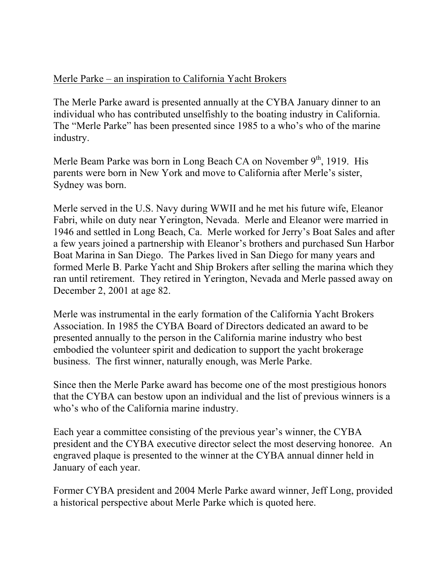## Merle Parke – an inspiration to California Yacht Brokers

The Merle Parke award is presented annually at the CYBA January dinner to an individual who has contributed unselfishly to the boating industry in California. The "Merle Parke" has been presented since 1985 to a who's who of the marine industry.

Merle Beam Parke was born in Long Beach CA on November  $9<sup>th</sup>$ , 1919. His parents were born in New York and move to California after Merle's sister, Sydney was born.

Merle served in the U.S. Navy during WWII and he met his future wife, Eleanor Fabri, while on duty near Yerington, Nevada. Merle and Eleanor were married in 1946 and settled in Long Beach, Ca. Merle worked for Jerry's Boat Sales and after a few years joined a partnership with Eleanor's brothers and purchased Sun Harbor Boat Marina in San Diego. The Parkes lived in San Diego for many years and formed Merle B. Parke Yacht and Ship Brokers after selling the marina which they ran until retirement. They retired in Yerington, Nevada and Merle passed away on December 2, 2001 at age 82.

Merle was instrumental in the early formation of the California Yacht Brokers Association. In 1985 the CYBA Board of Directors dedicated an award to be presented annually to the person in the California marine industry who best embodied the volunteer spirit and dedication to support the yacht brokerage business. The first winner, naturally enough, was Merle Parke.

Since then the Merle Parke award has become one of the most prestigious honors that the CYBA can bestow upon an individual and the list of previous winners is a who's who of the California marine industry.

Each year a committee consisting of the previous year's winner, the CYBA president and the CYBA executive director select the most deserving honoree. An engraved plaque is presented to the winner at the CYBA annual dinner held in January of each year.

Former CYBA president and 2004 Merle Parke award winner, Jeff Long, provided a historical perspective about Merle Parke which is quoted here.